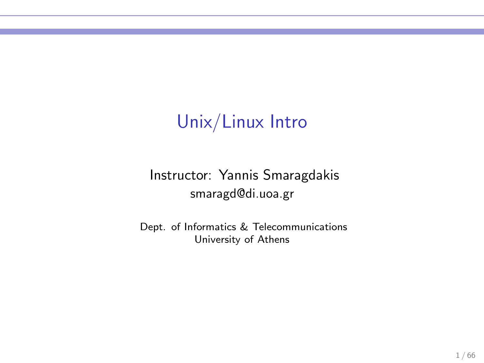## Unix/Linux Intro

Instructor: Yannis Smaragdakis smaragd@di.uoa.gr

Dept. of Informatics & Telecommunications University of Athens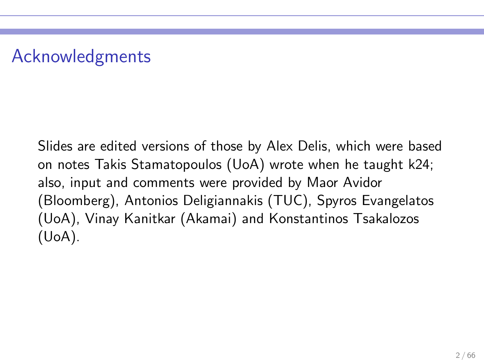## Acknowledgments

Slides are edited versions of those by Alex Delis, which were based on notes Takis Stamatopoulos (UoA) wrote when he taught k24; also, input and comments were provided by Maor Avidor (Bloomberg), Antonios Deligiannakis (TUC), Spyros Evangelatos (UoA), Vinay Kanitkar (Akamai) and Konstantinos Tsakalozos (UoA).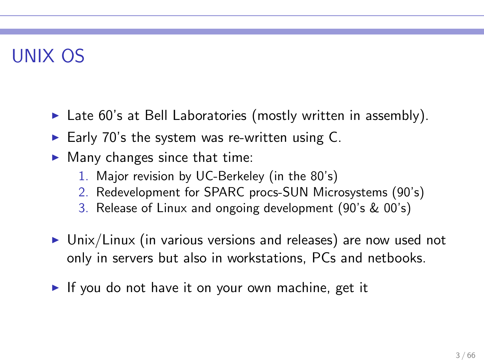## UNIX OS

- $\triangleright$  Late 60's at Bell Laboratories (mostly written in assembly).
- Early 70's the system was re-written using  $C$ .
- $\blacktriangleright$  Many changes since that time:
	- 1. Major revision by UC-Berkeley (in the 80's)
	- 2. Redevelopment for SPARC procs-SUN Microsystems (90's)
	- 3. Release of Linux and ongoing development (90's & 00's)
- ▶ Unix/Linux (in various versions and releases) are now used not only in servers but also in workstations, PCs and netbooks.
- ► If you do not have it on your own machine, get it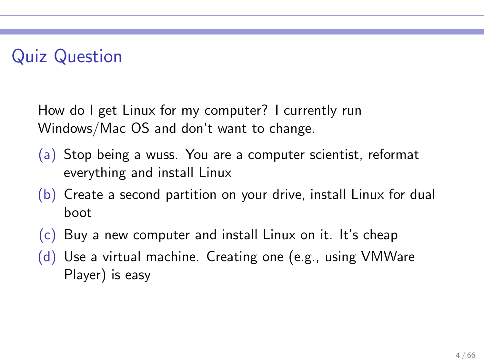## Quiz Question

How do I get Linux for my computer? I currently run Windows/Mac OS and don't want to change.

- (a) Stop being a wuss. You are a computer scientist, reformat everything and install Linux
- (b) Create a second partition on your drive, install Linux for dual boot
- $(c)$  Buy a new computer and install Linux on it. It's cheap
- (d) Use a virtual machine. Creating one (e.g., using VMWare Player) is easy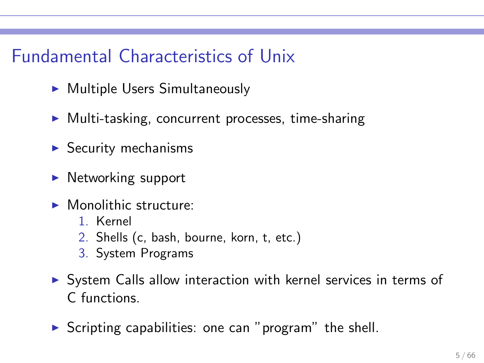## Fundamental Characteristics of Unix

- ► Multiple Users Simultaneously
- ▶ Multi-tasking, concurrent processes, time-sharing
- $\blacktriangleright$  Security mechanisms
- $\blacktriangleright$  Networking support
- $\blacktriangleright$  Monolithic structure:
	- 1. Kernel
	- 2. Shells (c, bash, bourne, korn, t, etc.)
	- 3. System Programs
- ▶ System Calls allow interaction with kernel services in terms of C functions.
- $\triangleright$  Scripting capabilities: one can "program" the shell.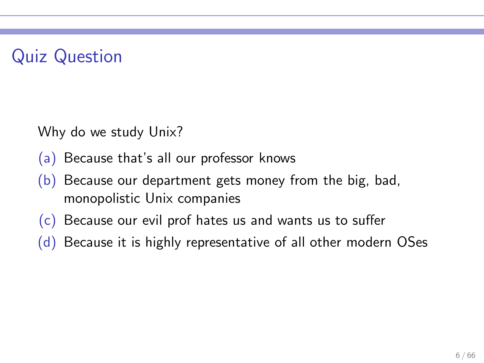## Quiz Question

Why do we study Unix?

- (a) Because that's all our professor knows
- (b) Because our department gets money from the big, bad, monopolistic Unix companies
- (c) Because our evil prof hates us and wants us to suffer
- (d) Because it is highly representative of all other modern OSes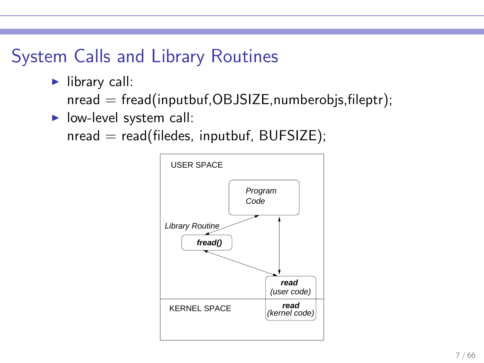## System Calls and Library Routines

 $\blacktriangleright$  library call:

 $nread = \frac{fread(inputbuf,OBJSIZE,numberobj,s,fileptr)}{Fend}$ 

 $\blacktriangleright$  low-level system call:

 $nread = read(filedes, inputbuf, BUFFSIZE);$ 

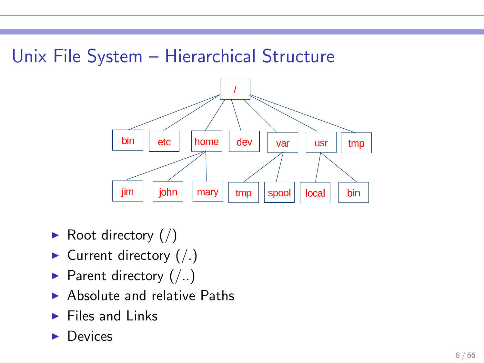Unix File System – Hierarchical Structure



- Root directory  $\binom{7}{2}$
- $\blacktriangleright$  Current directory (/.)
- Parent directory  $($ ..)
- $\blacktriangleright$  Absolute and relative Paths
- $\blacktriangleright$  Files and Links
- **Devices**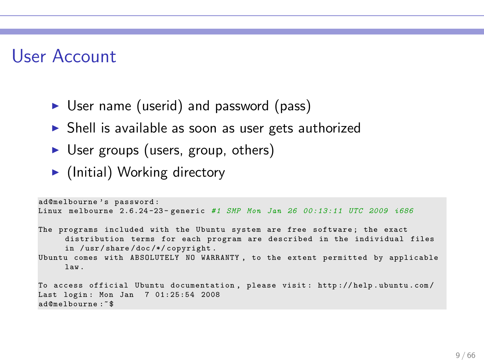### User Account

- ► User name (userid) and password (pass)
- ► Shell is available as soon as user gets authorized
- ► User groups (users, group, others)
- $\blacktriangleright$  (Initial) Working directory

```
ad@melbourne's password:
Linux melbourne 2.6.24 -23 - generic # 1 SMP Mon Jan 26 00:13:11 UTC 2009 i686
The programs included with the Ubuntu system are free software; the exact
     distribution terms for each program are described in the individual files
     in / usr / share / doc /*/ copyright .
Ubuntu comes with ABSOLUTELY NO WARRANTY , to the extent permitted by applicable
     law .
To access official Ubuntu documentation , please visit : http :// help . ubuntu . com /
Last login : Mon Jan 7 01:25:54 2008
ad@melbourne :~ $
```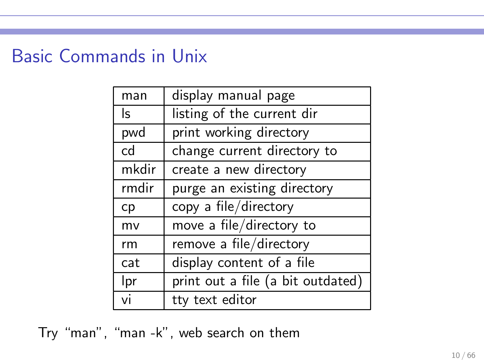## Basic Commands in Unix

| man   | display manual page               |
|-------|-----------------------------------|
| ls.   | listing of the current dir        |
| pwd   | print working directory           |
| cd    | change current directory to       |
| mkdir | create a new directory            |
| rmdir | purge an existing directory       |
| cp    | copy a file/directory             |
| mv    | move a file/directory to          |
| rm    | remove a file/directory           |
| cat   | display content of a file         |
| Ipr   | print out a file (a bit outdated) |
| vi    | tty text editor                   |

Try "man", "man -k", web search on them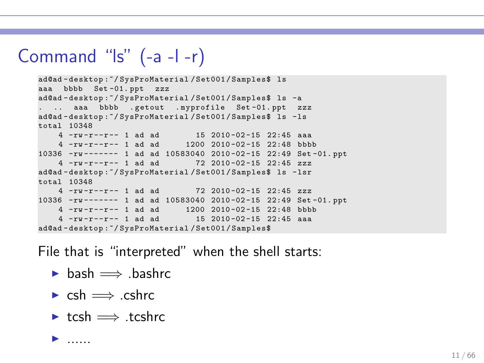## Command "ls" (-a -l -r)

```
ad@ad - desktop :~/ SysProMaterial / Set001 / Samples$ ls
aaa bbbb Set -01. ppt zzz
ad@ad - desktop :~/ SysProMaterial / Set001 / Samples$ ls -a
   .. aaa bbbb .getout .myprofile Set-01.ppt zzz
ad@ad-desktop:"/SysProMaterial/Set001/Samples$ ls -ls
total 10348
   4 -rw -r -- r -- 1 ad ad 15 2010 -02 -15 22:45 aaa
   4 -rw -r -- r -- 1 ad ad 1200 2010 -02 -15 22:48 bbbb
10336 -rw ------- 1 ad ad 10583040 2010 -02 -15 22:49 Set -01. ppt
    4 -rw -r -- r -- 1 ad ad 72 2010 -02 -15 22:45 zzz
ad@ad - desktop :~/ SysProMaterial / Set001 / Samples$ ls - lsr
total 10348
    4 -rw -r -- r -- 1 ad ad 72 2010 -02 -15 22:45 zzz
10336 -rw ------- 1 ad ad 10583040 2010 -02 -15 22:49 Set -01. ppt
    4 -rw -r -r - 1 ad ad 1200 2010 - 02 -15 22:48 bbbb<br>
4 -rw -r -r - 1 ad ad 15 2010 - 02 -15 22:45 as
    4 -<i>rw</i>-<i>r</i>-<i>r</i>-<i>r</i>-1 ad ad
ad@ad - desktop :~/ SysProMaterial / Set001 / Samples$
```
File that is "interpreted" when the shell starts:

- $\triangleright$  bash  $\implies$  bashrc
- $\triangleright$  csh  $\Longrightarrow$  .cshrc.
- ► tcsh = tcshrc

 $\blacktriangleright$  ......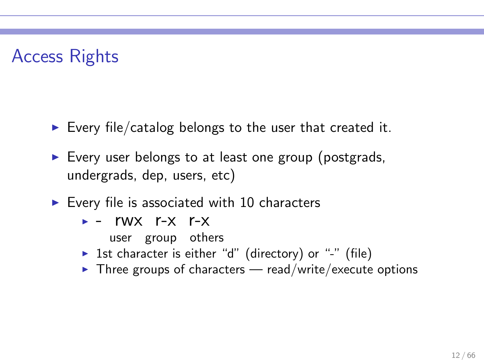## Access Rights

- Every file/catalog belongs to the user that created it.
- ► Every user belongs to at least one group (postgrads, undergrads, dep, users, etc)
- $\blacktriangleright$  Every file is associated with 10 characters
	- $\triangleright$  rwx r-x r-x
		- user group others
	- ▶ 1st character is either "d" (directory) or "-" (file)
	- $\triangleright$  Three groups of characters read/write/execute options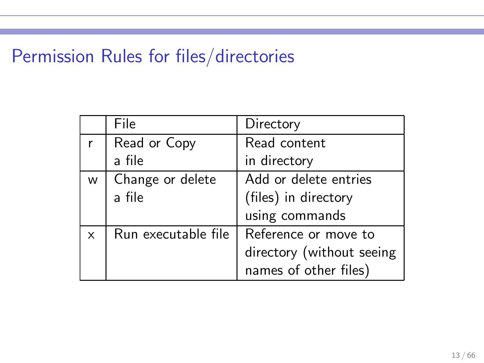### Permission Rules for files/directories

|   | File                | Directory                 |
|---|---------------------|---------------------------|
|   | Read or Copy        | Read content              |
|   | a file              | in directory              |
| W | Change or delete    | Add or delete entries     |
|   | a file              | (files) in directory      |
|   |                     | using commands            |
| X | Run executable file | Reference or move to      |
|   |                     | directory (without seeing |
|   |                     | names of other files)     |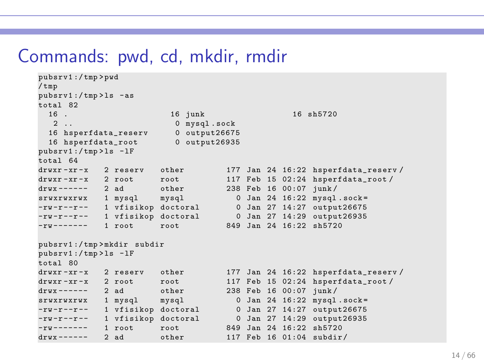### Commands: pwd, cd, mkdir, rmdir

```
pubsrv1 :/ tmp > pwd
/ tmp
pubsrv1 :/ tmp > ls - as
\begin{matrix} \text{total} & 82 \\ 16 & \end{matrix}16 . 16 junk 16 sh5720
   2.. 0 mysql.sock<br>6 hsperfdata reserv 0 output26675
  16 hsperfdata_reserv 0 output26675<br>16 hsperfdata_root 0 output26935
  16 hsperfdata_root
pubsrv1 :/ tmp > ls - lF
total 64
drwxr-xr-x 2 reserv other 177 Jan 24 16:22 hsperfdata_reserv/<br>drwxr-xr-x 2 root 117 Feb 15 02:24 hsperfdata root/
drwxr-xr-x 2 root root 117 Feb 15 02:24 hsperfdata_root/<br>drwx------ 2 ad dether 238 Feb 16 00:07 junk/
drwx ------ 2 ad other 238 Feb 16 00:07 junk /
srwxrwxrwx 1 mysql mysql 0 Jan 24 16:22 mysql .sock=
-rw-r--r-- 1 vfisikop doctoral 0 Jan 27 14:27 output26675<br>-rw-r--r-- 1 vfisikop doctoral 0 Jan 27 14:29 output26935
-rw-r--r-- 1 vfisikop doctoral 0 Jan 27 14:29 output26935
-rw ------- 1 root root 849 Jan 24 16:22 sh5720
pubsrv1 :/ tmp > mkdir subdir
pubsrv1 :/ tmp > ls - lF
total 80
drwxr-xr-x 2 reserv other 177 Jan 24 16:22 hsperfdata_reserv/<br>drwxr-xr-x 2 root 100t 117 Feb 15 02:24 hsperfdata root/
                2 root \begin{array}{ccc} \text{root} & 117 \text{ Feb} & 15 & 02:24 \text{ hsperfdata\_root} / \\ 2 \text{ ad} & \text{other} & 238 \text{ Feb} & 16 & 00:07 \text{ iunk} / \end{array}\text{drwx}\text{---} 2 ad other 238 Feb 16 00:07 junk/
srwxrwxrwx 1 mysql mysql 0 Jan 24 16:22 mysql . sock =
-rw-r--r-- 1 vfisikop doctoral 0 Jan 27 14:27 output26675<br>-rw-r--r-- 1 vfisikop doctoral 0 Jan 27 14:29 output26935
-rw -r --r -- 1 vfisikop doctoral 0 Jan 27 14:29 output26935
-rw ------- 1 root root 849 Jan 24 16:22 sh5720
drwx ------ 2 ad other 117 Feb 16 01:04 subdir /
```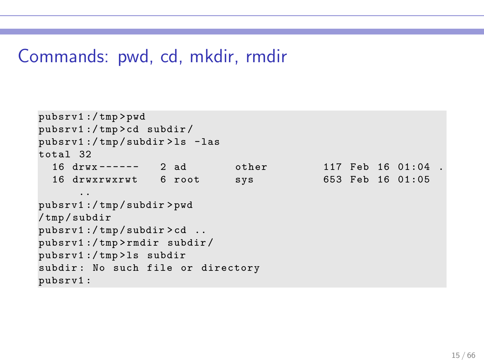### Commands: pwd, cd, mkdir, rmdir

```
pubsrv1 :/ tmp > pwd
pubsrv1 :/ tmp > cd subdir /
pubsrv1 :/ tmp / subdir > ls - las
total 32
  16 drwx ------ 2 ad other 117 Feb 16 01:04 .
  16 drwxrwxrwt 6 root sys 653 Feb 16 01:05
      ..
pubsrv1 :/ tmp / subdir > pwd
/ tmp / subdir
pubsrv1 :/ tmp / subdir > cd ..
pubsrv1 :/ tmp > rmdir subdir /
pubsrv1 :/ tmp > ls subdir
subdir: No such file or directory
pubsrv1 :
```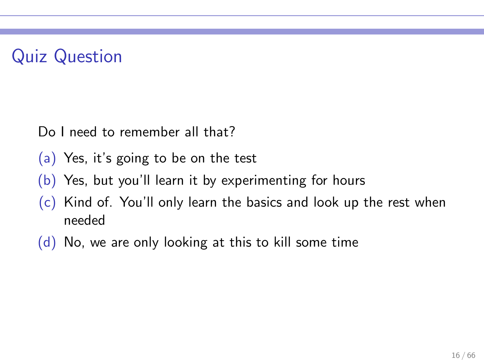## Quiz Question

Do I need to remember all that?

- (a) Yes, it's going to be on the test
- (b) Yes, but you'll learn it by experimenting for hours
- (c) Kind of. You'll only learn the basics and look up the rest when needed
- (d) No, we are only looking at this to kill some time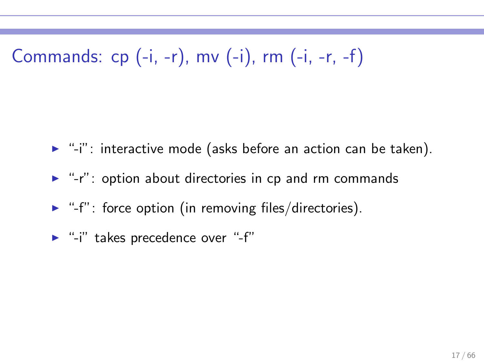Commands: cp (-i, -r), mv (-i), rm (-i, -r, -f)

- $\blacktriangleright$  "-i": interactive mode (asks before an action can be taken).
- ► "-r": option about directories in cp and rm commands
- $\blacktriangleright$  "-f": force option (in removing files/directories).
- ► "-i" takes precedence over "-f"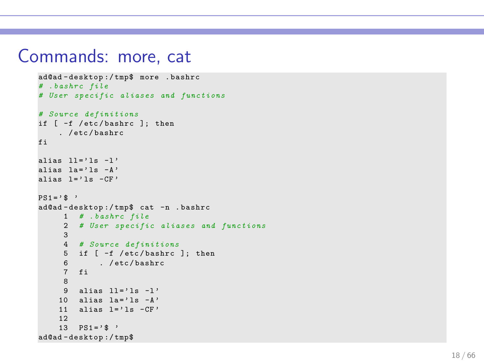#### Commands: more, cat

```
ad@ad - desktop :/ tmp$ more . bashrc
# . bashrc file
# User specific aliases and functions
# Source definitions
if [ -f / etc / bashrc ]; then
    . / etc / bashrc
fi
alias 11 = ' 1s -1'alias \lambda = \lambda \lambda = \lambdaalias l = ' 1s - CF'PS1 = ' $ '
ad@ad - desktop :/ tmp$ cat -n . bashrc
     1 # . bashrc file
     2 # User specific aliases and functions
     3
     4 # Source definitions
     5 if [ -f / etc / bashrc ]; then
     6 . / etc / bashrc
     7 fi
     8
     9 alias 11 = '1s -1'10 alias 1a = ' 1s - A'11 alias l = ' 1s - CF'12
    13 PS1 = ' $ '
ad@ad - desktop :/ tmp$
```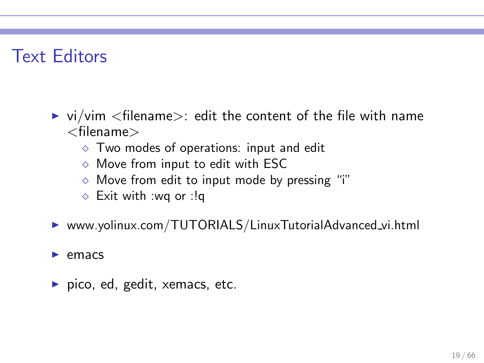### Text Editors

- $\triangleright$  vi/vim  $\lt$  filename $\gt$ : edit the content of the file with name  $<$ filename $>$ 
	- $\diamond$  Two modes of operations: input and edit
	- $\diamond$  Move from input to edit with ESC
	- $\diamond$  Move from edit to input mode by pressing "i"
	- ⋄ Exit with :wq or :!q

▶ www.yolinux.com/TUTORIALS/LinuxTutorialAdvanced\_vi.html

#### emacs

 $\blacktriangleright$  pico, ed, gedit, xemacs, etc.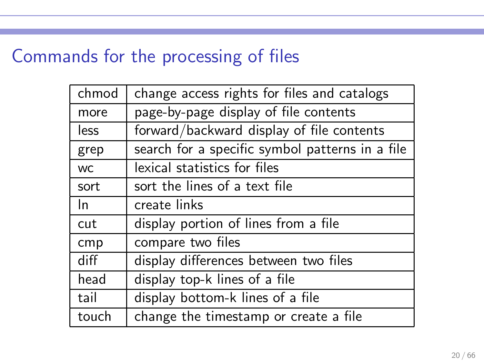## Commands for the processing of files

| chmod     | change access rights for files and catalogs     |
|-----------|-------------------------------------------------|
| more      | page-by-page display of file contents           |
| less      | forward/backward display of file contents       |
| grep      | search for a specific symbol patterns in a file |
| <b>WC</b> | lexical statistics for files                    |
| sort      | sort the lines of a text file                   |
| <u>In</u> | create links                                    |
| cut       | display portion of lines from a file            |
| cmp       | compare two files                               |
| diff      | display differences between two files           |
| head      | display top-k lines of a file                   |
| tail      | display bottom-k lines of a file                |
| touch     | change the timestamp or create a file           |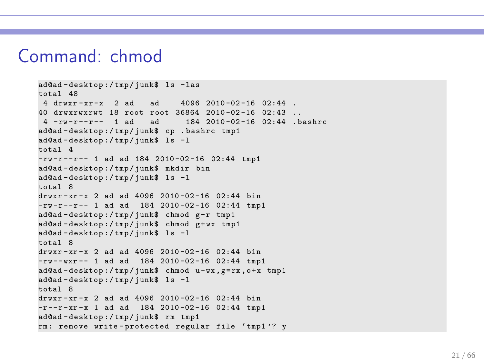#### Command: chmod

```
ad@ad - desktop :/ tmp / junk$ ls - las
t<sub>0</sub>t<sub>2</sub>] 484 drwxr - xr - x 2 ad ad 4096 2010 -02 -16 02:44 .
40 drwxrwxrwt 18 root root 36864 2010 -02 -16 02:43 ..
                               184 2010 - 02 - 16 02:44 . bashrc
ad@ad - desktop :/ tmp / junk$ cp . bashrc tmp1
ad@ad - desktop :/ tmp / junk$ ls -l
total 4
-rw-r--r-- 1 ad ad 184 2010-02-16 02:44 tmp1
ad@ad - desktop :/ tmp / junk$ mkdir bin
ad@ad - desktop :/ tmp / junk$ ls -l
total 8
drwxr-xr-x 2 ad ad 4096 2010-02-16 02:44 bin
-rw-r--r-- 1 ad ad 184 2010-02-16 02:44 tmp1
ad@ad-desktop:/tmp/junk$ chmod g-r tmp1
ad@ad - desktop :/ tmp / junk$ chmod g + wx tmp1
ad@ad - desktop :/ tmp / junk$ ls -l
total 8
drwxr-xr-x 2 ad ad 4096 2010-02-16 02:44 bin
-rw -- wxr -- 1 ad ad 184 2010 -02 -16 02:44 tmp1
ad@ad-desktop:/tmp/junk$ chmod u-wx, g=rx, o+x tmp1
ad@ad - desktop :/ tmp / junk$ ls -l
total 8
drwyr -yr -y 2 ad ad 4096 2010-02-16 02:44 bin
-r--r-xr-x 1 ad ad 184 2010-02-16 02:44 tmp1
ad@ad - desktop :/ tmp / junk$ rm tmp1
rm: remove write-protected regular file 'tmp1'? y
```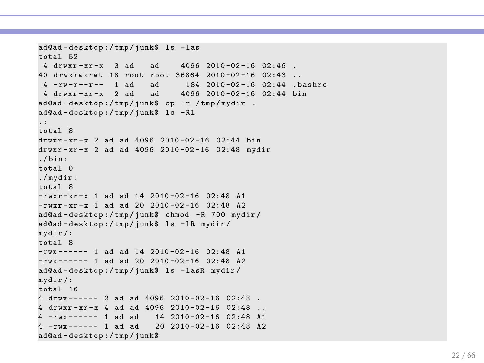```
ad@ad - desktop :/ tmp / junk$ ls - las
total 52
 4 \, drwxr - xr - x 3 ad ad 4096 \, 2010 - 02 - 16 \, 02:4640 drwxrwxrwt 18 root root 36864 2010-02-16 02:43.<br>4 -ru-r--r-- 1 ad ad 184 2010-02-16 02:44 b
                              184 2010-02-16 02:44 .bashrc<br>4096 2010-02-16 02:44 bin
 4 drwxr-x - x 2 ad ad
ad@ad - desktop :/ tmp / junk$ cp -r / tmp / mydir .
ad@ad - desktop :/ tmp / junk$ ls - Rl
.:
total 8
drwxr-xr-x 2 ad ad 4096 2010-02-16 02:44 bin
drwxr -xr - x 2 ad ad 4096 2010 -02 -16 02:48 mydir
./ bin :
total 0
./ mydir :
total 8
-rwxr-xr-x 1 ad ad 14 2010-02-16 02:48 A1
-rwxr -xr -x 1 ad ad 20 2010 -02 -16 02:48 A2
ad@ad - desktop :/ tmp / junk$ chmod -R 700 mydir /
ad@ad - desktop :/ tmp / junk$ ls - lR mydir /
mydir /:
total 8
-rwx ------ 1 ad ad 14 2010 -02 -16 02:48 A1
-rwx ------ 1 ad ad 20 2010 -02 -16 02:48 A2
ad@ad - desktop :/ tmp / junk$ ls - lasR mydir /
mydir /:
total 16
4 drux ------ 2 ad ad 4096 2010-02-16 02:48
4 drwxr-xr-x 4 ad ad 4096 2010-02-16 02:48 ..
4 - rwx \n--- 1 ad ad 14 \t2010 - 02 - 16 \t02:48 \t014 - rwx ------ 1 ad ad 20 2010 -02 -16 02:48 A2
ad@ad - desktop :/ tmp / junk$
```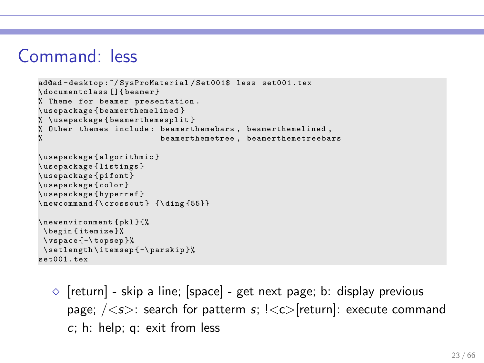### Command: less

```
ad@ad - desktop :~/ SysProMaterial / Set001$ less set001 . tex
\ documentclass []{ beamer }
% Theme for beamer presentation .
\ usepackage { beamerthemelin ed }
% \ usepackage { beamerthemesplit }
% Other themes include : beamerthemebars , beamerthemelined ,
                            beamerthemetree, beamerthemetreebars
\ usepackage { algorithmic }
\ usepackage { listings }
\ usepackage { pifont }
\ usepackage { color }
\ usepackage { hyperref }
\newcommand {\crossout } {\ding {55}}
\ newenvironment { pkl }{%
 \ begin { itemize }%
 \ vspace { -\ topsep }%
 \ setlength \ itemsep { -\ parskip }%
set001 . tex
```
 $\Diamond$  [return] - skip a line; [space] - get next page; b: display previous page;  $\langle \langle s \rangle$ : search for patterm s;  $\langle \langle s \rangle$  return]: execute command c; h: help; q: exit from less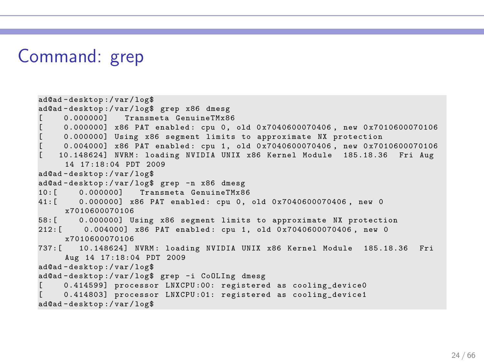### Command: grep

```
ad@ad - desktop :/ var / log$
ad@ad - desktop :/ var / log$ grep x86 dmesg
     0.000000] Transmeta GenuineTMx86
     [ 0.000000] x86 PAT enabled : cpu 0, old 0 x7040600070406 , new 0 x7010600070106
     [ 0.000000] Using x86 segment limits to approximate NX protection
     0.004000] x86 PAT enabled: cpu 1, old 0x7040600070406, new 0x7010600070106
   [ 10.148624] NVRM : loading NVIDIA UNIX x86 Kernel Module 185.18.36 Fri Aug
     14 17:18:04 PDT 2009
ad@ad - desktop :/ var / log$
ad@ad - desktop :/ var / log$ grep -n x86 dmesg
10: [ 0.000000] Transmeta GenuineTMx86<br>41: [ 0.000000] x86 PAT enabled: spu 0
        0.000000] x86 PAT enabled: cpu 0, old 0x7040600070406. new 0
     x7010600070106
58:[ 0.000000] Using x86 segment limits to approximate NX protection
212: [ 0.004000] x86 PAT enabled: cpu 1, old 0x7040600070406, new 0
     x7010600070106
737:[ 10.148624] NVRM : loading NVIDIA UNIX x86 Kernel Module 185.18.36 Fri
     Aug 14 17:18:04 PDT 2009
ad@ad - desktop :/ var / log$
ad@ad - desktop :/ var / log$ grep -i CoOLIng dmesg
     0.414599] processor LNXCPU:00: registered as cooling device0
     0.414803] processor LNXCPU:01: registered as cooling_device1
ad@ad - desktop :/ var / log$
```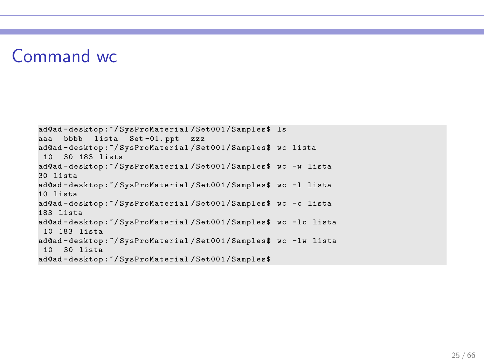### Command wc

```
ad@ad - desktop :~/ SysProMaterial / Set001 / Samples$ ls
aaa bbbb lista Set -01. ppt zzz
ad@ad - desktop :~/ SysProMaterial / Set001 / Samples$ wc lista
 10 30 183 lista
ad@ad - desktop :~/ SysProMaterial / Set001 / Samples$ wc -w lista
30 lista
ad@ad - desktop :~/ SysProMaterial / Set001 / Samples$ wc -l lista
10 lista
ad@ad - desktop :~/ SysProMaterial / Set001 / Samples$ wc -c lista
183 lista
ad@ad - desktop :~/ SysProMaterial / Set001 / Samples$ wc -lc lista
 10 183 lista
ad@ad - desktop :~/ SysProMaterial / Set001 / Samples$ wc -lw lista
 10 30 lista
ad@ad - desktop :~/ SysProMaterial / Set001 / Samples$
```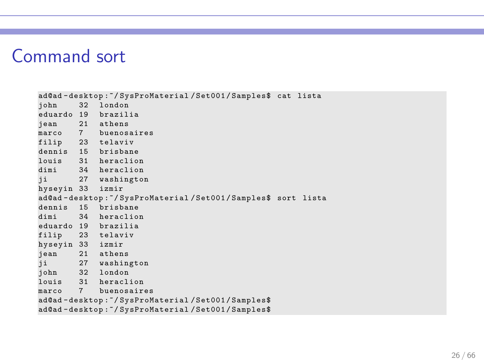#### Command sort

```
ad@ad-desktop:"/SysProMaterial/Set001/Samples$ cat lista<br>iohn 32 london
         32 london
eduardo 19 brazilia
        21 athens
marco 7 buenosaires
filip 23 telaviv
dennis 15 brisbane<br>louis 31 heraclio
         31 heraclion
dimi 34 heraclion<br>ii 27 washingto
         27 washington
hyseyin 33 izmir
ad@ad - desktop :~/ SysProMaterial / Set001 / Samples$ sort lista
dennis 15 brisbane<br>dimi 34 heraclio
         34 heraclion
eduardo 19 brazilia
filip 23 telaviv
hyseyin 33 izmir
         21 athens
ji 27 washington
john 32 london<br>louis 31 heracl
         31 heraclion
marco 7 buenosaires
ad@ad - desktop :~/ SysProMaterial / Set001 / Samples$
ad@ad - desktop :~/ SysProMaterial / Set001 / Samples$
```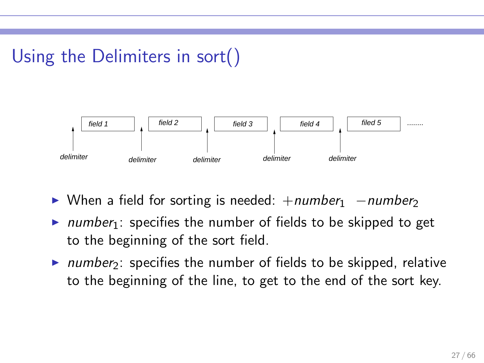## Using the Delimiters in sort()



- ► When a field for sorting is needed:  $+number_1$  –number<sub>2</sub>
- $\triangleright$  number<sub>1</sub>: specifies the number of fields to be skipped to get to the beginning of the sort field.
- $\triangleright$  number<sub>2</sub>: specifies the number of fields to be skipped, relative to the beginning of the line, to get to the end of the sort key.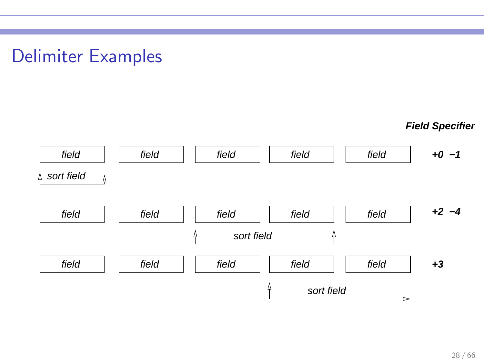## Delimiter Examples

**Field Specifier**

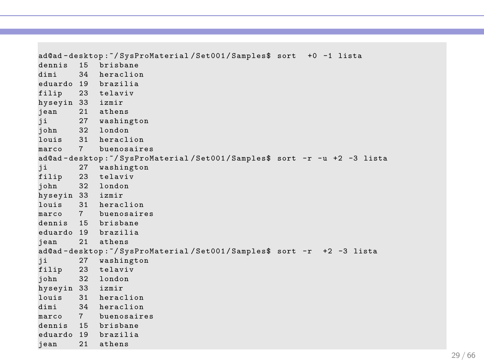```
ad@ad - desktop :~/ SysProMaterial / Set001 / Samples$ sort +0 -1 lista
dennis 15 brisbane<br>dimi 34 heraclio
        34 heraclion
eduardo 19 brazilia
filip 23 telaviv
hyseyin 33 izmir
jean 21 athens
        27 washington
john 32 london
louis 31 heraclion<br>marco 7 huenosaire
        7 buenosaires
ad@ad-desktop:<sup>~</sup>/SysProMaterial/Set001/Samples$ sort -r -u +2 -3 lista<br>ii 27 washington
    27 washington
filip 23 telaviv
john 32 london
hyseyin 33 izmir
louis 31 heraclion
marco 7 buenosaires
dennis 15 brisbane
eduardo 19 brazilia<br>iean 21 athens
        21 athens
ad@ad-desktop:"/SysProMaterial/Set001/Samples$ sort -r +2 -3 lista<br>ji 27 washington
        27 washington
filip 23 telaviv
john 32 london
hyseyin 33 izmir
        31 heraclion
dimi 34 heraclion
marco 7 buenosaires
dennis 15 brisbane
eduardo 19 brazilia
jean 21 athens
```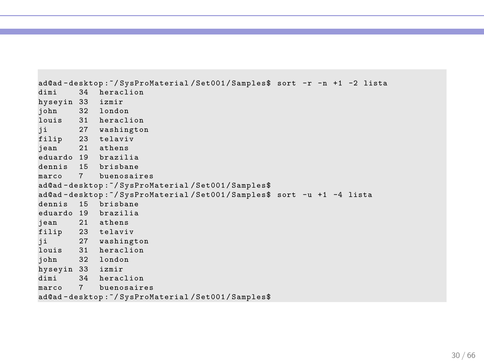```
ad@ad-desktop:"/SysProMaterial/Set001/Samples$ sort -r -n +1 -2 lista<br>dimi 34 heraclion
       34 heraclion
hyseyin 33 izmir
john 32 london
louis 31 heraclion
ji 27 washington
filip 23 telaviv
jean 21 athens
eduardo 19 brazilia
dennis 15 brisbane
marco 7 buenosaires
ad@ad - desktop :~/ SysProMaterial / Set001 / Samples$
ad@ad - desktop :~/ SysProMaterial / Set001 / Samples$ sort -u +1 -4 lista
dennis 15 brisbane
eduardo 19 brazilia
      21 athens
filip 23 telaviv
ji 27 washington
louis 31 heraclion
john 32 london
hyseyin 33 izmir
dimi 34 heraclion
marco 7 buenosaires
ad@ad - desktop :~/ SysProMaterial / Set001 / Samples$
```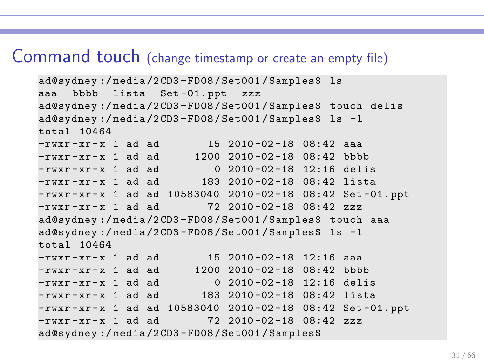#### Command touch (change timestamp or create an empty file)

```
ad@sydney :/ media /2 CD3 - FD08 / Set001 / Samples$ ls
aaa bbbb lista Set -01. ppt zzz
ad@sydney :/ media /2 CD3 - FD08 / Set001 / Samples$ touch delis
ad@sydney :/ media /2 CD3 - FD08 / Set001 / Samples$ ls -l
total 10464
-<b>rwx</b> - <b>xr</b> - <b>x</b> 1 ad ad 15 2010 - 02 - 18 08:42 aaa-rwxr - xr - x 1 ad ad 1200 2010 -02 -18 08:42 bbbb
-{\text{rwxr - xr -x}} 1 ad ad 0 2010-02-18 12:16 delis
-rwxr-xr-x 1 ad ad 183 2010-02-18 08:42 lista
-rwxr-xr-x 1 ad ad 10583040 2010-02-18 08:42 Set-01.ppt
-{\text{rw}}{\text{r-xr-x}} 1 ad ad 72 2010-02-18 08:42 zzz
ad@sydney :/ media /2 CD3 - FD08 / Set001 / Samples$ touch aaa
ad@sydney :/ media /2 CD3 - FD08 / Set001 / Samples$ ls -l
total 10464
-rwxr-xr-x 1 ad ad 15 2010-02-18 12:16 aaa
-rwxr - xr - x 1 ad ad 1200 2010-02-18 08:42 bbbb
-rwxr - xr - x 1 ad ad 0 2010 - 02-18 12:16 delis
-rwxr-xr-x 1 ad ad 183 2010-02-18 08:42 lista
-rwxr-xr-x 1 ad ad 10583040 2010-02-18 08:42 Set-01.ppt
-rwxr-xr-x 1 ad ad 72\,2010 -02 -18 08:42 zzz
ad@sydney :/ media /2 CD3 - FD08 / Set001 / Samples$
```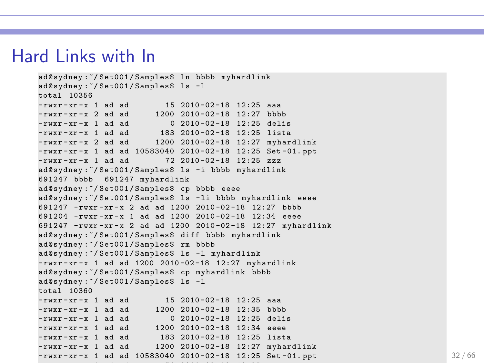### Hard Links with ln

```
ad@sydney :~/ Set001 / Samples$ ln bbbb myhardlink
ad@sydney :~/ Set001 / Samples$ ls -l
total 10356
-rwxr -xr - x 1 ad ad 15 2010 -02 -18 12:25 aaa
- rwxr - xr - x 2 ad ad 1200 2010 -02 -18 12:27 bbbb - rwxr - xr - x 1 ad ad 0 2010 -02 -18 12:25 delis
-rwxr - xr -x 1 ad ad- rwxr -xr - x 1 ad ad 183 2010 -02 -18 12:25 lista
-rwxr - xr - x 2 ad ad 1200 2010-02-18 12:27 myhardlink
- rwxr - xr - x 1 ad ad 10583040 2010 -02 -18 12:25 Set -01. ppt<br>- rwxr - xr - x 1 ad ad 72 2010 -02 -18 12:25 zzz
                             72 2010-02-18 12:25 zzz
ad@sydney:"/Set001/Samples$ ls -i bbbb myhardlink
691247 bbbb 691247 myhardlink
ad@sydney :~/ Set001 / Samples$ cp bbbb eeee
ad@sydney :~/ Set001 / Samples$ ls - li bbbb myhardlink eeee
691247 - rwxr - xr - x 2 ad ad 1200 2010 -02 -18 12:27 bbbb
691204 - rwxr - xr - x 1 ad ad 1200 2010 -02 -18 12:34 eeee
691247 - rwxr - xr - x 2 ad ad 1200 2010 -02 -18 12:27 myhardlink
ad@sydney :~/ Set001 / Samples$ diff bbbb myhardlink
ad@sydney :~/ Set001 / Samples$ rm bbbb
ad@sydney :~/ Set001 / Samples$ ls -l myhardlink
-rwxr-xr-x 1 ad ad 1200 2010-02-18 12:27 myhardlink
ad@sydney :~/ Set001 / Samples$ cp myhardlink bbbb
ad@sydney :~/ Set001 / Samples$ ls -l
total 10360
-rwxr-xr-x 1 ad ad 15 2010 -02 -18 12:25 aaa
- rwxr - xr - x 1 ad ad 1200 2010 - 02 - 18 12:35 bbbb - rwxr - xr - x 1 ad ad 0 2010 - 02 - 18 12:25 deli
                              0.2010 - 02 - 18.12:25 delis
-rwxr-xr-x 1 ad ad 1200 2010-02-18 12:34 eeee
- rwxr -xr - x 1 ad ad 183 2010 -02 -18 12:25 lista
-rwxr-xr-x 1 ad ad 1200 2010-02-18 12:27 myhardlink
-rwxr-xr-x 1 ad ad 10583040 2010-02-18 12:25 Set-01.ppt
```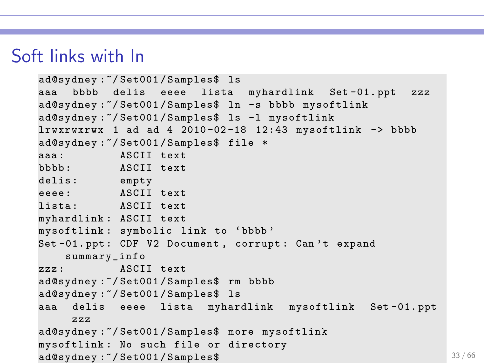### Soft links with ln

```
ad@sydney :~/ Set001 / Samples$ ls
aaa bbbb delis eeee lista myhardlink Set -01. ppt zzz
ad@sydney:"/Set001/Samples$ ln -s bbbb mysoftlink
ad@sydney :~/ Set001 / Samples$ ls -l mysoftlink
lrwxrwxrwx 1 ad ad 4 2010-02-18 12:43 mysoftlink -> bbbb
ad@sydney :~/ Set001 / Samples$ file *
aaa: ASCII text
bbbb : ASCII text
delis: empty
eeee: ASCII text
lista: ASCII text
myhardlink : ASCII text
mysoftlink : symbolic link to 'bbbb '
Set-01. ppt: CDF V2 Document, corrupt: Can't expand
   summary_info
zzz: ASCII text
ad@sydney :~/ Set001 / Samples$ rm bbbb
ad@sydney :~/ Set001 / Samples$ ls
aaa delis eeee lista myhardlink mysoftlink Set -01. ppt
    zzz
ad@sydney :~/ Set001 / Samples$ more mysoftlink
mysoftlink : No such file or directory
ad@sydney : \sim/Set001/Samples$ 33/66
```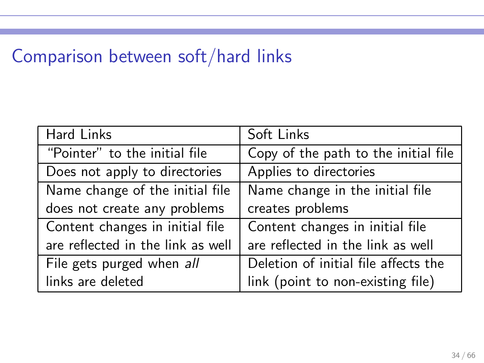## Comparison between soft/hard links

| Hard Links                        | Soft Links                           |
|-----------------------------------|--------------------------------------|
| "Pointer" to the initial file     | Copy of the path to the initial file |
| Does not apply to directories     | Applies to directories               |
| Name change of the initial file   | Name change in the initial file      |
| does not create any problems      | creates problems                     |
| Content changes in initial file   | Content changes in initial file      |
| are reflected in the link as well | are reflected in the link as well    |
| File gets purged when all         | Deletion of initial file affects the |
| links are deleted                 | link (point to non-existing file)    |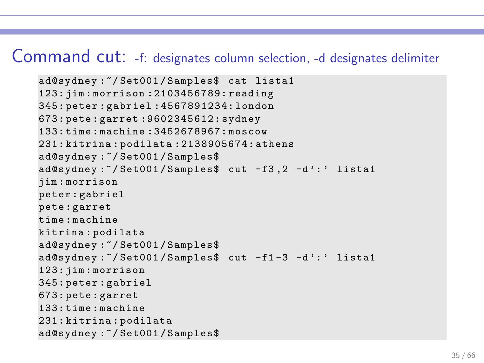#### Command cut: -f: designates column selection, -d designates delimiter

```
ad@sydney :~/ Set001 / Samples$ cat lista1
123: jim : morrison :2103456789: reading
345: peter : gabriel :4567891234: london
673: pete : garret :9602345612: sydney
133: time : machine :3452678967: moscow
231: kitrina : podilata :2138905674: athens
ad@sydney :~/ Set001 / Samples$
ad@sydney:"/Set001/Samples$ cut -f3,2 -d':' lista1
jim : morrison
peter : gabriel
pete : garret
time : machine
kitrina : podilata
ad@sydney :~/ Set001 / Samples$
ad@sydney:"/Set001/Samples$ cut -f1-3 -d':' lista1
123: jim : morrison
345: peter : gabriel
673: pete : garret
133: time : machine
231: kitrina : podilata
ad@sydney :~/ Set001 / Samples$
```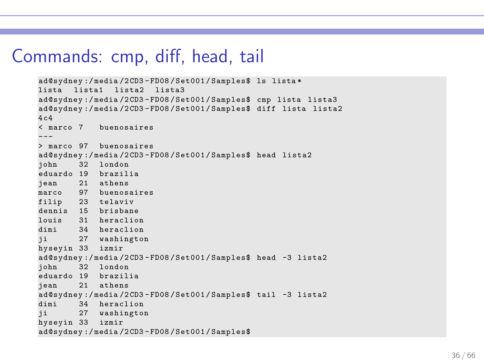### Commands: cmp, diff, head, tail

```
ad@sydney :/ media /2 CD3 - FD08 / Set001 / Samples$ ls lista *
lista lista1 lista2 lista3
ad@sydney :/ media /2 CD3 - FD08 / Set001 / Samples$ cmp lista lista3
ad@sydney :/ media /2 CD3 - FD08 / Set001 / Samples$ diff lista lista2
4c.4< marco 7 buenosaires
> marco 97 buenosaires
ad@sydney:/media/2CD3-FD08/Set001/Samples$ head lista2<br>john 32 london
        32 london
eduardo 19 brazilia
jean 21 athens
marco 97 buenosaires
filip 23 telaviv
dennis 15 brisbane<br>louis 31 heraclio
        31 heraclion
dimi 34 heraclion
ji 27 washington
hyseyin 33 izmir
ad@sydney:/media/2CD3-FD08/Set001/Samples$ head -3 lista2<br>iohn 32 london
        32 london
eduardo 19 brazilia
jean 21 athens
ad@sydney :/ media /2 CD3 - FD08 / Set001 / Samples$ tail -3 lista2
dimi 34 heraclion
ji 27 washington
hyseyin 33 izmir
ad@sydney :/ media /2 CD3 - FD08 / Set001 / Samples$
```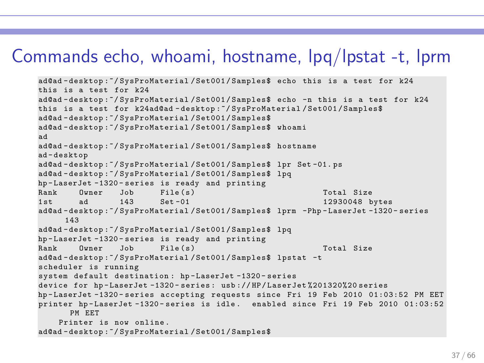### Commands echo, whoami, hostname, lpq/lpstat -t, lprm

```
ad@ad - desktop :~/ SysProMaterial / Set001 / Samples$ echo this is a test for k24
this is a test for k24
ad@ad-desktop:"/SysProMaterial/Set001/Samples$ echo -n this is a test for k24
this is a test for k24ad@ad-desktop:"/SysProMaterial/Set001/Samples$
ad@ad - desktop :~/ SysProMaterial / Set001 / Samples$
ad@ad - desktop :~/ SysProMaterial / Set001 / Samples$ whoami
ad
ad@ad - desktop :~/ SysProMaterial / Set001 / Samples$ hostname
ad - desktop
ad@ad - desktop :~/ SysProMaterial / Set001 / Samples$ lpr Set -01. ps
ad@ad - desktop :~/ SysProMaterial / Set001 / Samples$ lpq
hp-LaserJet-1320-series is ready and printing<br>Bank Owner Job File(s)
Rank Owner Job File(s) (1992) Total Size<br>1st 3d 143 Sot-01 (19930048 b
                                                              12930048 bytes
ad@ad - desktop :~/ SysProMaterial / Set001 / Samples$ lprm -Php - LaserJet -1320 - series
      143
ad@ad - desktop :~/ SysProMaterial / Set001 / Samples$ lpq
hp - LaserJet -1320 - series is ready and printing
Rank Owner Job File ( s ) Total Size
ad@ad - desktop :~/ SysProMaterial / Set001 / Samples$ lpstat -t
scheduler is running
system default destination : hp - LaserJet -1320 - series
device for hp - LaserJet -1320 - series : usb :// HP / LaserJet %201320%20 series
hp - LaserJet -1320 - series accepting requests since Fri 19 Feb 2010 01:03:52 PM EET
printer hp - LaserJet -1320 - series is idle . enabled since Fri 19 Feb 2010 01:03:52
      PM EET
    Printer is now online .
ad@ad - desktop :~/ SysProMaterial / Set001 / Samples$
```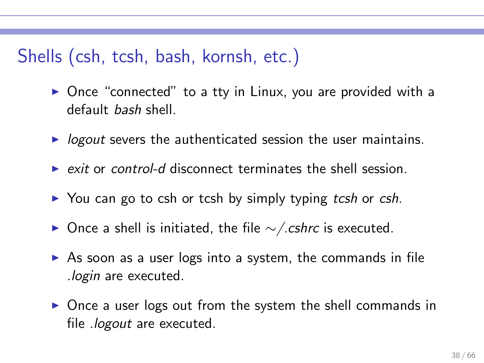### Shells (csh, tcsh, bash, kornsh, etc.)

- ▶ Once "connected" to a tty in Linux, you are provided with a default bash shell.
- $\triangleright$  logout severs the authenticated session the user maintains.
- $\triangleright$  exit or control-d disconnect terminates the shell session.
- ▶ You can go to csh or tcsh by simply typing tcsh or csh.
- ▶ Once a shell is initiated, the file  $\sim$ /.cshrc is executed.
- $\triangleright$  As soon as a user logs into a system, the commands in file .login are executed.
- ▶ Once a user logs out from the system the shell commands in file *.logout* are executed.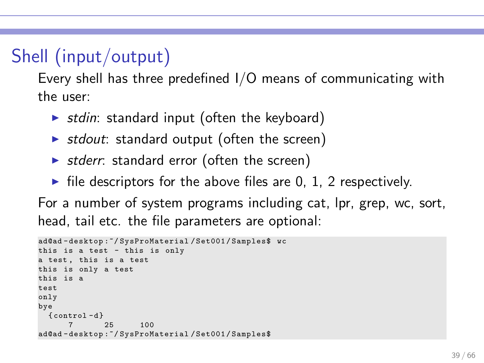# Shell (input/output)

Every shell has three predefined I/O means of communicating with the user:

- $\triangleright$  stdin: standard input (often the keyboard)
- ▶ stdout: standard output (often the screen)
- $\triangleright$  stderr: standard error (often the screen)
- $\blacktriangleright$  file descriptors for the above files are 0, 1, 2 respectively.

For a number of system programs including cat, lpr, grep, wc, sort, head, tail etc. the file parameters are optional:

```
ad@ad - desktop :~/ SysProMaterial / Set001 / Samples$ wc
this is a test - this is only
a test, this is a test
this is only a test
this is a
test
only
bye
 {control - d}7 25 100
ad@ad - desktop :~/ SysProMaterial / Set001 / Samples$
```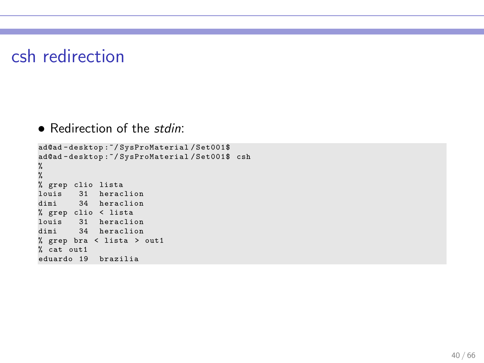### csh redirection

• Redirection of the *stdin*:

```
ad@ad - desktop :~/ SysProMaterial / Set001$
ad@ad - desktop :~/ SysProMaterial / Set001$ csh
%
%
% grep clio lista
louis 31 heraclion
dimi 34 heraclion
% grep clio < lista
louis 31 heraclion
dimi 34 heraclion
% grep bra < lista > out1
% cat out1
eduardo 19 brazilia
```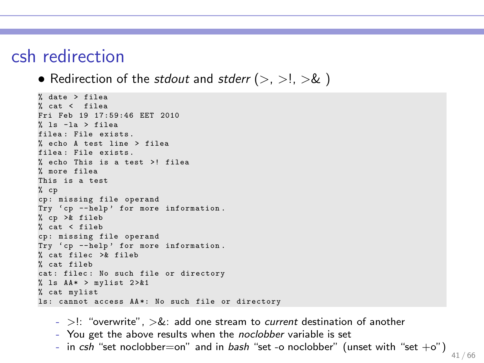#### csh redirection

• Redirection of the stdout and stderr  $(>, >, >l, >&)$ 

```
% date > filea
% cat < filea
Fri Feb 19 17:59:46 EET 2010
% ls -la > filea
filea : File exists .
% echo A test line > filea
filea : File exists .
% echo This is a test >! filea
% more filea
This is a test
% cp
cp : missing file operand
Try 'cp --help' for more information.
% cp >& fileb
% cat < fileb
cp : missing file operand
Try 'cp --help' for more information.
% cat filec >& fileb
% cat fileb
cat: filec: No such file or directory
% ls AA* > mylist 2 > 2 + 1% cat mylist
ls : cannot access AA *: No such file or directory
```
- $>$ !: "overwrite",  $>$ &: add one stream to *current* destination of another
- You get the above results when the noclobber variable is set
- in csh "set noclobber=on" and in bash "set -o noclobber" (unset with "set  $+o$ ")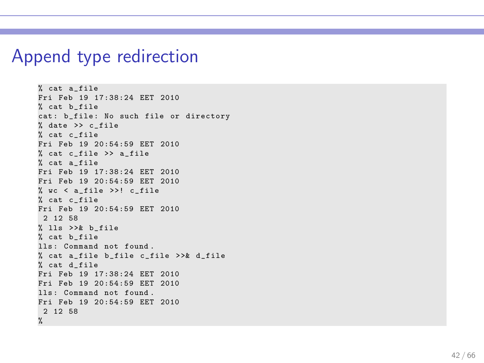#### Append type redirection

```
% cat a file
Fri Feb 19 17:38:24 EET 2010
% cat b_file
cat: b_file: No such file or directory
% date >> c_file
% cat c_file
Fri Feb 19 20:54:59 EET 2010
% cat c_file >> a_file
% cat a_file
Fri Feb 19 17:38:24 EET 2010
Fri Feb 19 20:54:59 EET 2010
% wc < a file >>! c file
% cat c_file
Fri Feb 19 20:54:59 EET 2010
 2 12 58
% lls \geq b file
% cat b_file
lls : Command not found .
% cat a file b file c file >>& d file
% cat d_file
Fri Feb 19 17:38:24 EET 2010
Fri Feb 19 20:54:59 EET 2010
lls: Command not found.
Fri Feb 19 20:54:59 EET 2010
2 12 58
%
```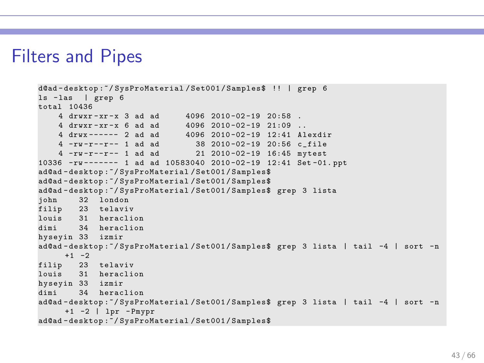### Filters and Pipes

```
d@ad - desktop :~/ SysProMaterial / Set001 / Samples$ !! | grep 6
ls - las | grep 6
total 10436
     4 drwxr-xr-x 3 ad ad      4096 2010-02-19 20:58 .<br>4 drwxr-xr-x 6 ad ad     4096 2010-02-19 21:09 ..<br>4 drwx------ 2 ad ad     4096 2010-02-19 12:41 Alexdir
    4 -rw -r -r - 1 ad ad 38\ 2010 - 02 -19\ 20:56 c_file<br>4 -rw -r -r - 1 ad ad 21\ 2010 - 02 -19\ 16:45 mytest
    4 -rw-r--r-- 1 ad ad
10336 -rw ------- 1 ad ad 10583040 2010 -02 -19 12:41 Set -01. ppt
ad@ad - desktop :~/ SysProMaterial / Set001 / Samples$
ad@ad - desktop :~/ SysProMaterial / Set001 / Samples$
ad@ad-desktop:~/SysProMaterial/Set001/Samples$ grep 3 lista<br>iohn 32 london
         32 london
filip 23 telaviv
louis 31 heraclion<br>dimi 34 heraclion
          34 heraclion
hyseyin 33 izmir
ad@ad - desktop :~/ SysProMaterial / Set001 / Samples$ grep 3 lista | tail -4 | sort -n
      +1 -2
filip 23 telaviv
louis 31 heraclion
hyseyin 33 izmir
          34 heraclion
ad@ad - desktop :~/ SysProMaterial / Set001 / Samples$ grep 3 lista | tail -4 | sort -n
      +1 -2 | lpr - Pmypr
ad@ad - desktop :~/ SysProMaterial / Set001 / Samples$
```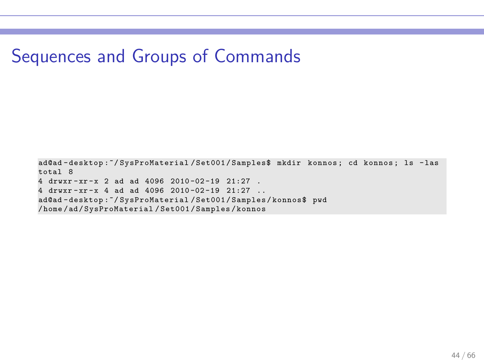### Sequences and Groups of Commands

ad@ad - desktop :~/ SysProMaterial / Set001 / Samples\$ mkdir konnos ; cd konnos ; ls - las total 8 4 drwxr - xr - x 2 ad ad 4096 2010 -02 -19 21:27 . 4 drwxr - xr - x 4 ad ad 4096 2010 -02 -19 21:27 .. ad@ad - desktop :~/ SysProMaterial / Set001 / Samples / konnos\$ pwd / home / ad / SysProMaterial / Set001 / Samples / konnos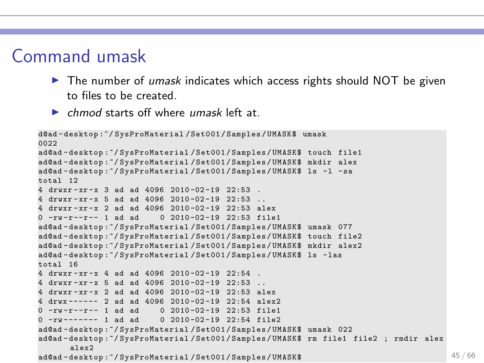### Command umask

- $\triangleright$  The number of *umask* indicates which access rights should NOT be given to files to be created.
- $\triangleright$  chmod starts off where umask left at.

```
d@ad - desktop :~/ SysProMaterial / Set001 / Samples / UMASK$ umask
0022
ad@ad - desktop :~/ SysProMaterial / Set001 / Samples / UMASK$ touch file1
ad@ad - desktop :~/ SysProMaterial / Set001 / Samples / UMASK$ mkdir alex
ad@ad - desktop :~/ SysProMaterial / Set001 / Samples / UMASK$ ls -l - sa
total 12
4 drwxr-xr-x 3 ad ad 4096 2010-02-19 22:53.
4 drwxr - xr - x 5 ad ad 4096 2010 -02 -19 22:53 ..
4 drwxr - xr - x 2 ad ad 4096 2010 -02 -19 22:53 alex
0 - ry - r = -r - 1 ad ad 0 2010-02-19 22:53 file1
ad@ad - desktop :~/ SysProMaterial / Set001 / Samples / UMASK$ umask 077
ad@ad - desktop :~/ SysProMaterial / Set001 / Samples / UMASK$ touch file2
ad@ad - desktop :~/ SysProMaterial / Set001 / Samples / UMASK$ mkdir alex2
ad@ad - desktop :~/ SysProMaterial / Set001 / Samples / UMASK$ ls - las
total 16
4 drwxr - xr - x 4 ad ad 4096 2010 -02 -19 22:54 .
4 druxr-xr-x 5 ad ad 4096 2010-02-19 22:53
4 drwxr - xr - x 2 ad ad 4096 2010 -02 -19 22:53 alex
4 drwx ------ 2 ad ad 4096 2010 -02 -19 22:54 alex2
0 -rw -r -r - 1 ad ad 0, 2010 - 02 -19, 22:53 file1
0 -rw = - - - - - 1 ad ad 0.2010 - 02 - 19.22 : 54 file2
ad@ad - desktop :~/ SysProMaterial / Set001 / Samples / UMASK$ umask 022
ad@ad - desktop :~/ SysProMaterial / Set001 / Samples / UMASK$ rm file1 file2 ; rmdir alex
      alex2
ad@ad-desktop:~/SvsProMaterial/Set001/Samples/UMASK$ 45/66
```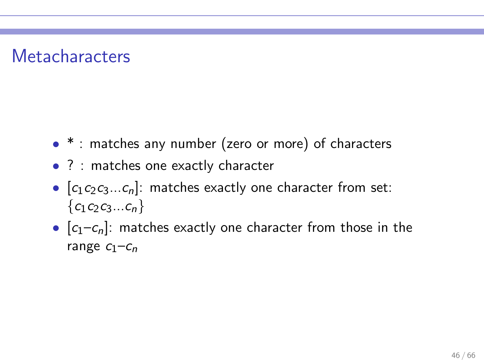### **Metacharacters**

- $*$ : matches any number (zero or more) of characters
- ? : matches one exactly character
- $[c_1c_2c_3...c_n]$ : matches exactly one character from set:  ${c_1c_2c_3...c_n}$
- $[c_1-c_n]$ : matches exactly one character from those in the range  $C_1$ – $C_n$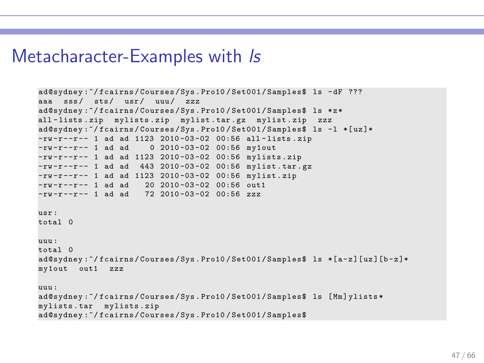#### Metacharacter-Examples with Is

```
ad@sydney :~/ fcairns / Courses / Sys . Pro10 / Set001 / Samples$ ls - dF ???
aaa sss/ sts/ usr/ uuu/ zzz
ad@sydney :~/ fcairns / Courses / Sys . Pro10 / Set001 / Samples$ ls * z *
all - lists . zip mylists . zip mylist . tar . gz mylist . zip zzz
ad@sydney:"/fcairns/Courses/Sys.Pro10/Set001/Samples$ ls -1 *[uz]*
-rw-r--r-- 1 ad ad 1123 2010-03-02 00:56 all-lists.zip<br>-rw-r--r-- 1 ad ad 0 2010-03-02 00:56 my1out
                        0.2010 - 03 - 02.00:56 my1out
-rw-r--r-- 1 ad ad 1123 2010-03-02 00:56 mylists.zip
-rw-r--r-- 1 ad ad 443 2010-03-02 00:56 mylist.tar.gz
-rw -r --r -- 1 ad ad 1123 2010 -03 -02 00:56 mylist . zip
-rw - r - -r - 1 ad ad 20 2010-03-02 00:56 out1
-ry-r-r-1 ad ad 72 2010-03-02 00:56 zzz
usr :
total 0
uuu :
total 0
ad@sydney:~/fcairns/Courses/Sys.Pro10/Set001/Samples$ ls *[a-z][uz][b-z]*
my1out out1 zzz
uuu :
ad@sydney:"/fcairns/Courses/Sys.Pro10/Set001/Samples$ ls [Mm]vlists*
mylists . tar mylists . zip
ad@sydney :~/ fcairns / Courses / Sys . Pro10 / Set001 / Samples$
```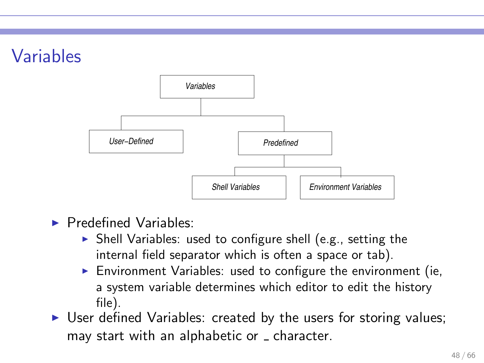## Variables



- $\blacktriangleright$  Predefined Variables:
	- ▶ Shell Variables: used to configure shell (e.g., setting the internal field separator which is often a space or tab).
	- $\triangleright$  Environment Variables: used to configure the environment (ie, a system variable determines which editor to edit the history file).
- $\triangleright$  User defined Variables: created by the users for storing values; may start with an alphabetic or \_ character.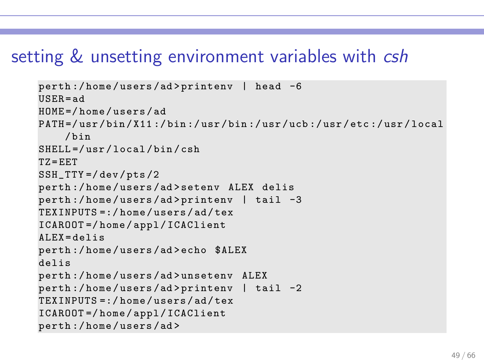### setting & unsetting environment variables with csh

```
perth :/ home / users /ad > printenv | head -6
USER = ad
HOME =/ home / users / ad
PATH =/ usr / bin / X11 :/ bin :/ usr / bin :/ usr / ucb :/ usr / etc :/ usr / local
     / bin
SHELL =/ usr / local / bin / csh
TZ = EETSSH_TTY =/ dev / pts /2
perth :/ home / users /ad > setenv ALEX delis
perth :/ home / users /ad > printenv | tail -3
TEXINPUTS =:/ home / users / ad / tex
ICAROOT =/ home / appl / ICAClient
AI.EX = deJisperth :/ home / users /ad > echo $ALEX
delis
perth :/ home / users /ad > unsetenv ALEX
perth :/ home / users /ad > printenv | tail -2
TEXINPUTS =:/ home / users / ad / tex
ICAROOT =/ home / appl / ICAClient
perth :/ home / users /ad >
```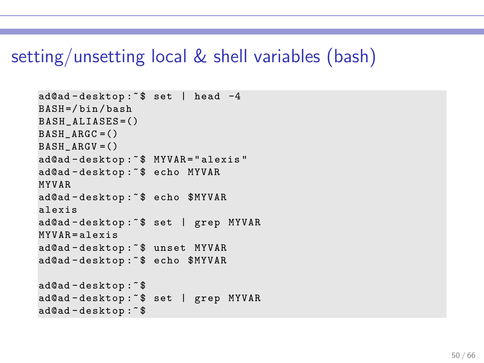#### setting/unsetting local & shell variables (bash)

```
ad@ad - desktop :~ $ set | head -4
BASH =/ bin / bash
BASH<sub>_ALIASES</sub> = ()
BASH ARGC = ()BASH ARGV = ()ad@ad - desktop :~ $ MYVAR = " alexis "
ad@ad - desktop :~ $ echo MYVAR
MYVAR
ad@ad - desktop :~ $ echo $MYVAR
alexis
ad@ad - desktop :~ $ set | grep MYVAR
MYVAR = aIe<sub>xis</sub>ad@ad - desktop :~ $ unset MYVAR
ad@ad - desktop :~ $ echo $MYVAR
ad@ad - desktop :~ $
ad@ad - desktop :~ $ set | grep MYVAR
ad@ad - desktop :~ $
```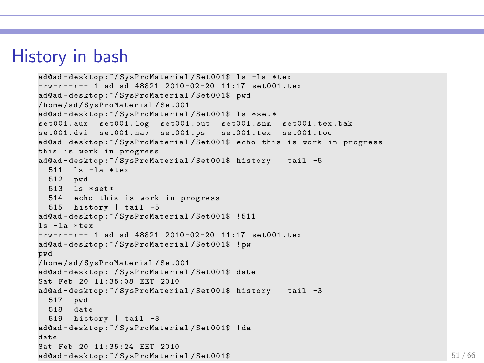### History in bash

```
ad@ad - desktop :~/ SysProMaterial / Set001$ ls -la * tex
-rw -r --r -- 1 ad ad 48821 2010 -02 -20 11:17 set001 . tex
ad@ad - desktop :~/ SysProMaterial / Set001$ pwd
/ home / ad / SysProMaterial / Set001
ad@ad - desktop :~/ SysProMaterial / Set001$ ls * set *
set001.aux set001.log set001.out set001.snm set001.tex.bak
set001.dvi set001.nav set001.ps set001.tex set001.toc
ad@ad-desktop:"/SysProMaterial/Set001$ echo this is work in progress
this is work in progress
ad@ad - desktop :~/ SysProMaterial / Set001$ history | tail -5
  511 ls - la * tex
 512 pwd
 513 ls * set *
 514 echo this is work in progress
 515 history | tail -5
ad@ad - desktop :~/ SysProMaterial / Set001$ !511
ls - la * tex
-rw -r --r -- 1 ad ad 48821 2010 -02 -20 11:17 set001 . tex
ad@ad - desktop :~/ SysProMaterial / Set001$ ! pw
pwd
/ home / ad / SysProMaterial / Set001
ad@ad - desktop :~/ SysProMaterial / Set001$ date
Sat Feb 20 11:35:08 EET 2010
ad@ad - desktop :~/ SysProMaterial / Set001$ history | tail -3
  517 pwd
  518 date
 519 history | tail -3
ad@ad - desktop :~/ SysProMaterial / Set001$ ! da
date
Sat Feb 20 11:35:24 FFT 2010
ad@ad-desktop: "/SysProMaterial/Set001$ 51/66
```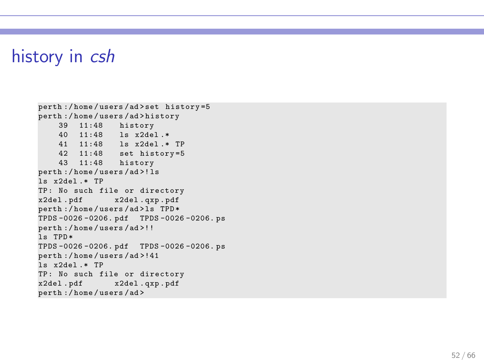### history in csh

```
perth :/ home / users /ad > set history =5
perth :/ home / users /ad > history
    39 11:48 history
    40 11:48 ls x2del .*
    41 11:48 ls x2del .* TP
    42 11:48 set history =5
    43 11:48 history
perth :/ home / users /ad >! ls
ls x2del .* TP
TP: No such file or directory<br>x2del.pdf x2del.gxp.pdf
                  x2del . pdf x2del . qxp . pdf
perth :/ home / users /ad > ls TPD *
TPDS -0026 -0206. pdf TPDS -0026 -0206. ps
perth :/ home / users /ad >!!
is TPD*TPDS -0026 -0206. pdf TPDS -0026 -0206. ps
perth :/ home / users /ad >!41
ls x2del .* TP
TP : No such file or directory
                  x2del . pdf x2del . qxp . pdf
perth :/ home / users /ad >
```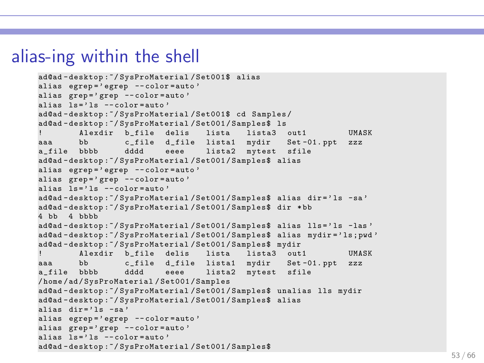### alias-ing within the shell

```
ad@ad - desktop :~/ SysProMaterial / Set001$ alias
alias egrep='egrep --color=auto'
alias grep='grep --color=auto'
alias le^2 ls - color =auto<sup>2</sup>
ad@ad - desktop :~/ SysProMaterial / Set001$ cd Samples /
ad@ad - desktop :~/ SysProMaterial / Set001 / Samples$ ls
        Alexdir b_file delis lista lista3 out1 UMASK
aaa bb c_file d_file lista1 mydir Set -01. ppt zzz
a_file bbbb dddd eeee lista2 mytest sfile
ad@ad - desktop :~/ SysProMaterial / Set001 / Samples$ alias
alias egrep='egrep --color=auto'
alias grep='grep --color=auto'
alias ls = 'ls - color = auto'ad@ad - desktop :~/ SysProMaterial / Set001 / Samples$ alias dir =' ls -sa '
ad@ad - desktop :~/ SysProMaterial / Set001 / Samples$ dir * bb
4 bb 4 bbbb
ad@ad-desktop: "/SysProMaterial/Set001/Samples$ alias lls='ls -las'
ad@ad - desktop :~/ SysProMaterial / Set001 / Samples$ alias mydir =' ls ; pwd '
ad@ad - desktop :~/ SysProMaterial / Set001 / Samples$ mydir
        Alexdir b_file delis lista lista3 out1 UMASK
aaa bb c_file d_file lista1 mydir Set -01. ppt zzz
a_file bbbb dddd eeee lista2 mytest sfile
/ home / ad / SysProMaterial / Set001 / Samples
ad@ad - desktop :~/ SysProMaterial / Set001 / Samples$ unalias lls mydir
ad@ad - desktop :~/ SysProMaterial / Set001 / Samples$ alias
alias dir =' ls -sa'
alias egrep =' egrep -- color = auto '
alias grep='grep --color=auto'
alias ls = 'ls - color = auto'ad@ad - desktop :~/ SysProMaterial / Set001 / Samples$
```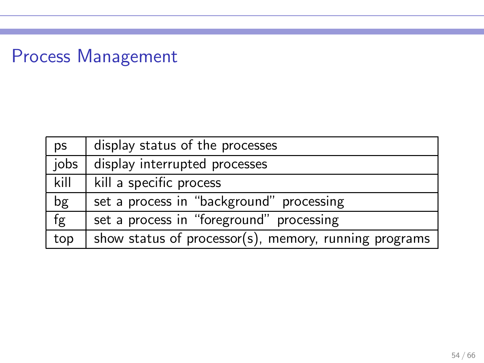## Process Management

| ps   | display status of the processes                       |  |
|------|-------------------------------------------------------|--|
| jobs | display interrupted processes                         |  |
| kill | kill a specific process                               |  |
| bg   | set a process in "background" processing              |  |
| fg   | set a process in "foreground" processing              |  |
| top  | show status of processor(s), memory, running programs |  |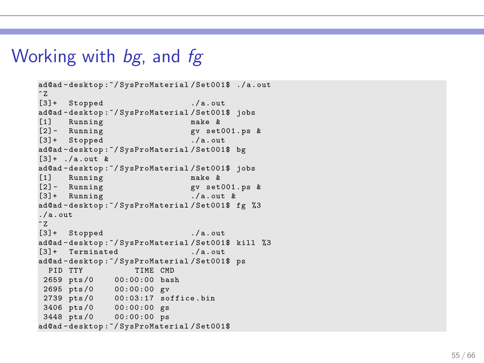### Working with bg, and fg

```
ad@ad - desktop :~/ SysProMaterial / Set001$ ./ a . out
~^{\circ} z
[3] + Stopped ./a.out
ad@ad - desktop :~/ SysProMaterial / Set001$ jobs
[1] Running make &<br>[2] - Running make gv set
                                 gv set001.ps &<br>./a.out
[3]+ Stopped
ad@ad - desktop :~/ SysProMaterial / Set001$ bg
[3]+ ./a.out &
ad@ad-desktop:~/SysProMaterial/Set001$ jobs<br>[1] Running make &
[1] Running<br>[2]- Running
                                 \sigma v set001 . ps \&[3] + Running ./a.out &
ad@ad - desktop :~/ SysProMaterial / Set001$ fg %3
./a.out
~^{\circ} Z.
[3]+ Stopped ./ a . out
ad@ad - desktop :~/ SysProMaterial / Set001$ kill %3
[3] + Terminated ./a.out
ad@ad - desktop :~/ SysProMaterial / Set001$ ps
 PID TTY TIME CMD
2659 pts /0 00:00:00 bash
2695 pts /0 00:00:00 gv
2739 pts /0 00:03:17 soffice . bin
3406 pts /0 00:00:00 gs
 3448 pts /0 00:00:00 ps
ad@ad - desktop :~/ SysProMaterial / Set001$
```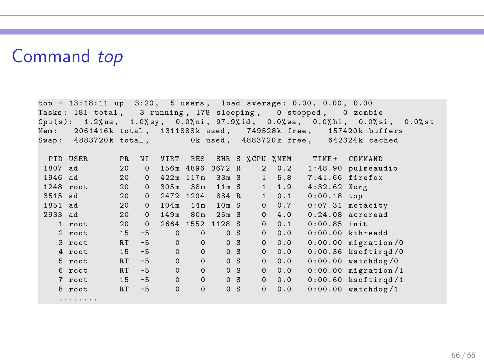#### Command top

top - 13:18:11 up 3:20, 5 users, load average: 0.00, 0.00, 0.00 Tasks: 181 total, 3 running, 178 sleeping, 0 stopped, 0 zombie  $Cpu(s): 1.2\%$ us, 1.0% sy, 0.0% ni, 97.9% id, 0.0% wa, 0.0% hi, 0.0% si, 0.0% st Mem: 2061416k total, 1311888k used, 749528k free, 157420k buffers<br>Swap: 4883720k total. 0k used. 4883720k free. 642324k cached 0k used, 4883720k free, 642324k cached PID USER PRANI VIRTARES SHR S % CPU % MEM TIME + COMMAND 1807 ad 20 0 156m 4896 3672 R 2 0.2 1:48.90 pulseaudio<br>1946 ad 20 0 422m 117m 33m S 1 5.8 7:41.66 firefox 20 0 422m 117m 33m S 1 5.8 7:41.66 fire:<br>20 0 305m 38m 11m S 1 1.9 4:32.62 Xorg 1248 root 20 0 305m 38m 11m S 1 1.9 4:32.62 Xorg<br>3515 ad 20 0 2472 1204 884 R 1 0.1 0:00.18 top 3515 ad 20 0 2472 1204 884 R 1 0.1 0:00.18 top 1851 ad 20 0 104 m 14 m 10 m S 0 0.7 0:07.31 metacity<br>2933 ad 20 0 149 m 25 m S 0 4 0 0:24 08 acrogad 20 0 149m 80m 25m S 0 4.0 1 root 20 0 2664 1552 1128 S 0 0.1 0:00.85 init 2 root 15 -5 0 0 0 0 0 0 0 0 0 0 0 kthreadd<br>3 root RT -5 0 0 0 S 0 0.0 0:00.00 migration /0  $3$  root  $RT -5$ 4 root 15 -5 0 0 0 S 0 0.0 0:00.36 ksoftirqd /0 5 root RT -5 0 0 0 S 0 0.0 0:00.00 watchdog /0 6 root RT -5 0 0 0 S 0 0.0 0:00.00 migration /1 7 root 15 -5 0 0 0 S 0 0.0 0:00.60 ksoftirqd /1 8 root RT -5 0 0 0 S ........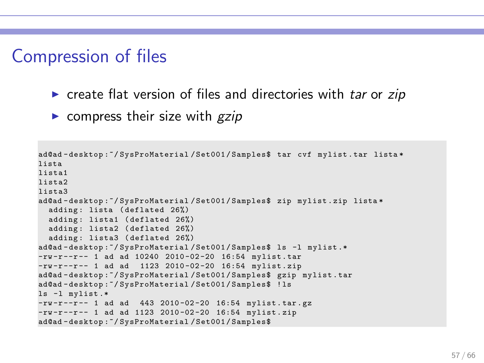### Compression of files

- $\triangleright$  create flat version of files and directories with tar or zip
- $\triangleright$  compress their size with  $gzip$

```
ad@ad - desktop :~/ SysProMaterial / Set001 / Samples$ tar cvf mylist . tar lista *
lista
lista1
lista2
lista3
ad@ad - desktop :~/ SysProMaterial / Set001 / Samples$ zip mylist . zip lista *
  adding: lista (deflated 26%)
  adding: lista1 (deflated 26%)
  adding: lista2 (deflated 26%)
  adding : lista3 ( deflated 26%)
ad@ad-desktop:"/SysProMaterial/Set001/Samples$ ls -1 mylist.*
-rw-r--r-- 1 ad ad 10240 2010-02-20 16:54 mylist.tar
-rw -r -r - 1 ad ad 1123 2010-02-20 16:54 mylist.zip
ad@ad - desktop :~/ SysProMaterial / Set001 / Samples$ gzip mylist . tar
ad@ad - desktop :~/ SysProMaterial / Set001 / Samples$ ! ls
ls -l mylist .*
-rw-r--r-- 1 ad ad 443 2010-02-20 16:54 mylist.tar.gz
-rw-r--r-- 1 ad ad 1123 2010-02-20 16:54 mylist.zip
ad@ad - desktop :~/ SysProMaterial / Set001 / Samples$
```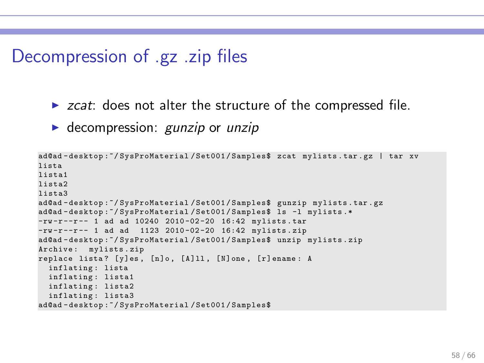### Decompression of .gz .zip files

- $\triangleright$  zcat: does not alter the structure of the compressed file.
- $\triangleright$  decompression: *gunzip* or *unzip*

```
ad@ad - desktop :~/ SysProMaterial / Set001 / Samples$ zcat mylists . tar . gz | tar xv
lista
lista1
lista2
lista3
ad@ad - desktop :~/ SysProMaterial / Set001 / Samples$ gunzip mylists . tar . gz
ad@ad-desktop:~/SysProMaterial/Set001/Samples$ ls -1 mylists.*
-rw -r --r -- 1 ad ad 10240 2010 -02 -20 16:42 mylists . tar
-rw -r --r -- 1 ad ad 1123 2010 -02 -20 16:42 mylists . zip
ad@ad - desktop :~/ SysProMaterial / Set001 / Samples$ unzip mylists . zip
Archive: mylists.zip
replace lista? [y]es, [n]o, [A]ll, [N]one, [r]ename: A
  inflating : lista
 inflating : lista1
 inflating : lista2
  inflating : lista3
ad@ad - desktop :~/ SysProMaterial / Set001 / Samples$
```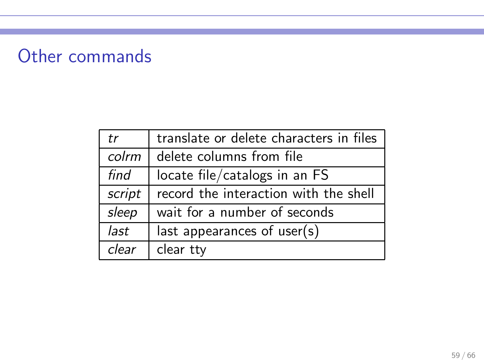## Other commands

| tr     | translate or delete characters in files |  |
|--------|-----------------------------------------|--|
| colrm  | delete columns from file                |  |
| find   | locate file/catalogs in an FS           |  |
| script | record the interaction with the shell   |  |
| sleep  | wait for a number of seconds            |  |
| last   | last appearances of user(s)             |  |
| clear  | clear tty                               |  |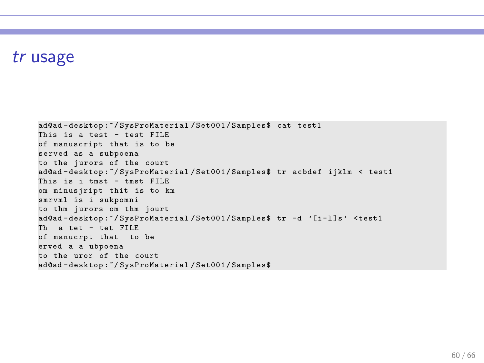#### tr usage

```
ad@ad - desktop :~/ SysProMaterial / Set001 / Samples$ cat test1
This is a test - test FILE
of manuscript that is to be
served as a subpoena
to the jurors of the court
ad@ad - desktop :~/ SysProMaterial / Set001 / Samples$ tr acbdef ijklm < test1
This is i tmst - tmst FILE
om minusjript thit is to km
smrvml is i sukpomni
to thm jurors om thm jourt
ad@ad-desktop:"/SysProMaterial/Set001/Samples$ tr -d '[i-l]s' <test1
Th a tet - tet FILE
of manucrpt that to be
erved a a ubpoena
to the uror of the court
ad@ad - desktop :~/ SysProMaterial / Set001 / Samples$
```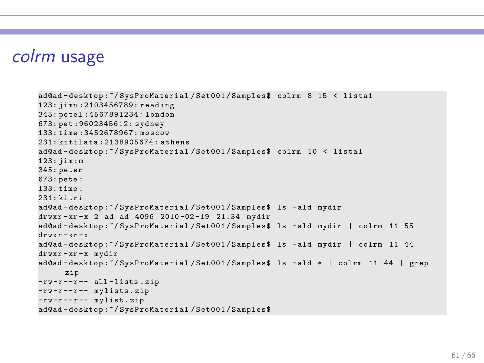#### colrm usage

```
ad@ad - desktop :~/ SysProMaterial / Set001 / Samples$ colrm 8 15 < lista1
123: jimn :2103456789: reading
345: petel :4567891234: london
673: pet :9602345612: sydney
133: time :3452678967: moscow
231: kitilata :2138905674: athens
ad@ad - desktop :~/ SysProMaterial / Set001 / Samples$ colrm 10 < lista1
123: jim : m
345: peter
673: pete :
133 \cdot time \cdot231: kitri
ad@ad - desktop :~/ SysProMaterial / Set001 / Samples$ ls - ald mydir
drwxr-xr-x 2 ad ad 4096 2010-02-19 21:34 mydir
ad@ad - desktop :~/ SysProMaterial / Set001 / Samples$ ls - ald mydir | colrm 11 55
drwxr -xr - x
ad@ad - desktop :~/ SysProMaterial / Set001 / Samples$ ls - ald mydir | colrm 11 44
drwxr -xr - x mydir
ad@ad - desktop :~/ SysProMaterial / Set001 / Samples$ ls - ald * | colrm 11 44 | grep
      zip
-rw-r--r-- all-lists.zip
-rw -r --r -- mylists . zip
-rw -r --r -- mylist . zip
ad@ad - desktop :~/ SysProMaterial / Set001 / Samples$
```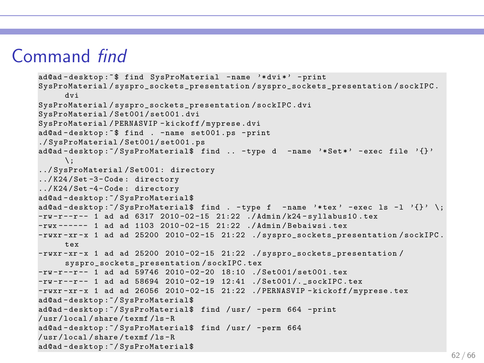### Command find

```
ad@ad - desktop :~ $ find SysProMaterial - name '* dvi *' - print
SysProMaterial/syspro_sockets_presentation/syspro_sockets_presentation/sockIPC.
     dvi
SvsProMaterial/syspro_sockets_presentation/sockIPC.dvi
SysProMaterial / Set001 / set001 . dvi
SysProMaterial / PERNASVIP - kickoff / myprese . dvi
ad@ad - desktop :~ $ find . - name set001 . ps - print
./ SysProMaterial / Set001 / set001 . ps
ad@ad-desktop:"/SysProMaterial$ find .. -type d -name '*Set*' -exec file '{}'
     \langle \cdot \rangle../ SysProMaterial / Set001 : directory
../ K24 / Set -3 - Code : directory
../ K24 / Set -4 - Code : directory
ad@ad - desktop :~/ SysProMaterial$
ad@ad-desktop:\check{ }/ SysProMaterial$ find . -type f -name '*tex' -exec ls -l '{}' \;
-rw-r--r-- 1 ad ad 6317 2010-02-15 21:22 ./Admin/k24-syllabus10.tex
-rwx ------ 1 ad ad 1103 2010-02-15 21:22 ./Admin/Bebaiwsi.tex
-rwxr-xr -x 1 ad ad 25200 2010-02-15 21:22 ./syspro_sockets_presentation/sockIPC.
     tex
-rwxr - xr - x 1 ad ad 25200 2010-02-15 21:22 ./syspro_sockets_presentation/
     syspro_sockets_presentation/sockIPC.tex
-rw-r-r-1 ad ad 59746 2010-02-20 18:10 ./Set001/set001.tex
-rw -r -r - 1 ad ad 58694 2010-02-19 12:41 ./Set001/. sockIPC.tex
-rwxr-xr-x 1 ad ad 26056 2010-02-15 21:22 ./PERNASVIP-kickoff/mvprese.tex
ad@ad - desktop :~/ SysProMaterial$
ad@ad - desktop :~/ SysProMaterial$ find / usr / - perm 664 - print
/ usr / local / share / texmf /ls - R
ad@ad - desktop :~/ SysProMaterial$ find / usr / - perm 664
/ usr / local / share / texmf /ls - R
ad@ad - desktop :~/ SysProMaterial$
```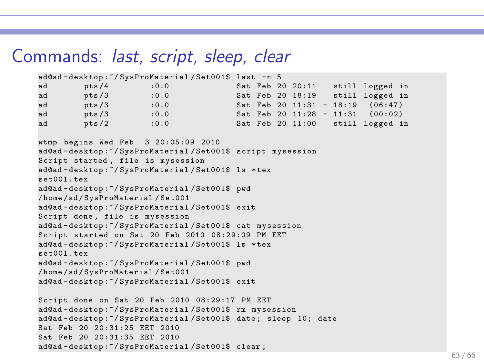#### Commands: last, script, sleep, clear

```
ad@ad-desktop:"/SysProMaterial/Set001$ last -n 5<br>ad pts/4 :0.0 Sat Feb 2
ad pts /4 :0.0 Sat Feb 20 20:11 still logged in<br>ad pts /3 :0.0 Sat Feb 20 18:19 still logged in
       pts /3 :0.0 Sat Feb 20 18:19 still logged in<br>
nts /3 :0.0 Sat Feb 20 11:31 - 18:19 (06:47)
ad pts /3 :0.0 Sat Feb 20 11:31 - 18:19 (06:47)<br>ad pts /3 :0.0 Sat Feb 20 11:28 - 11:31 (00:02)
      pts /3 :0.0 Sat Feb 20 11:28 - 11:31 (00:02)<br>pts /2 :0.0 Sat Feb 20 11:00 still logged i
ad pts /2 :0.0 Sat Feb 20 11:00 still logged in
wtmp begins Wed Feb 3 20:05:09 2010
ad@ad - desktop :~/ SysProMaterial / Set001$ script mysession
Script started, file is mysession
ad@ad - desktop :~/ SysProMaterial / Set001$ ls * tex
set001 . tex
ad@ad - desktop :~/ SysProMaterial / Set001$ pwd
/ home / ad / SysProMaterial / Set001
ad@ad - desktop :~/ SysProMaterial / Set001$ exit
Script done, file is mysession
ad@ad - desktop :~/ SysProMaterial / Set001$ cat mysession
Script started on Sat 20 Feb 2010 08:29:09 PM EET
ad@ad - desktop :~/ SysProMaterial / Set001$ ls * tex
set001 . tex
ad@ad - desktop :~/ SysProMaterial / Set001$ pwd
/ home / ad / SysProMaterial / Set001
ad@ad - desktop :~/ SysProMaterial / Set001$ exit
Script done on Sat 20 Feb 2010 08:29:17 PM EET
ad@ad - desktop :~/ SysProMaterial / Set001$ rm mysession
ad@ad - desktop :~/ SysProMaterial / Set001$ date ; sleep 10; date
Sat Feb 20 20:31:25 EET 2010
Sat Feb 20 20:31:35 EET 2010
ad@ad - desktop :~/ SysProMaterial / Set001$ clear ;
```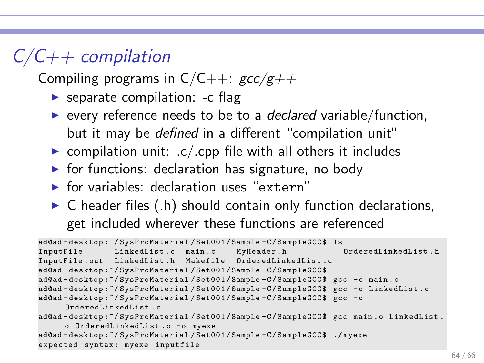## $C/C++$  compilation

Compiling programs in  $C/C++$ :  $\frac{acc}{g++}$ 

- $\triangleright$  separate compilation: -c flag
- $\triangleright$  every reference needs to be to a *declared* variable/function, but it may be defined in a different "compilation unit"
- $\triangleright$  compilation unit: .c/.cpp file with all others it includes
- $\triangleright$  for functions: declaration has signature, no body
- $\triangleright$  for variables: declaration uses "extern"
- $\triangleright$  C header files (.h) should contain only function declarations, get included wherever these functions are referenced

```
ad@ad - desktop :~/ SysProMaterial / Set001 / Sample - C / SampleGCC$ ls
               LinkedList.c main.c
InputFile . out LinkedList . h Makefile OrderedLinkedLi st .c
ad@ad - desktop :~/ SysProMaterial / Set001 / Sample - C / SampleGCC$
ad@ad - desktop :~/ SysProMaterial / Set001 / Sample - C / SampleGCC$ gcc -c main . c
ad@ad-desktop:"/SysProMaterial/Set001/Sample-C/SampleGCC$ gcc -c LinkedList.c
ad@ad-desktop:"/SysProMaterial/Set001/Sample-C/SampleGCC$ gcc -c
     OrderedLinkedL is t . c
ad@ad-desktop:"/SysProMaterial/Set001/Sample-C/SampleGCC$ gcc main.o LinkedList.
     o OrderedLinkedList.o -o myexe
ad@ad - desktop :~/ SysProMaterial / Set001 / Sample - C / SampleGCC$ ./ myexe
expected syntax: myexe inputfile
```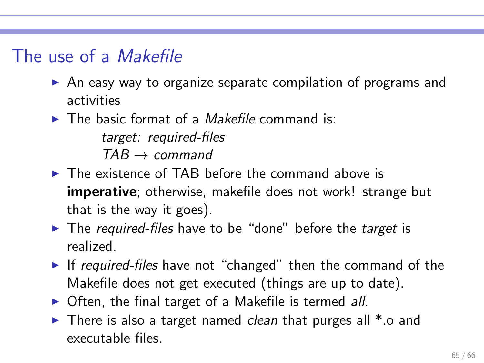### The use of a Makefile

- ▶ An easy way to organize separate compilation of programs and activities
- $\blacktriangleright$  The basic format of a *Makefile* command is: target: required-files  $TAB \rightarrow$  command
- $\triangleright$  The existence of TAB before the command above is imperative; otherwise, makefile does not work! strange but that is the way it goes).
- ► The required-files have to be "done" before the target is realized.
- ► If required-files have not "changed" then the command of the Makefile does not get executed (things are up to date).
- ▶ Often, the final target of a Makefile is termed all.
- $\triangleright$  There is also a target named *clean* that purges all  $*$  o and executable files.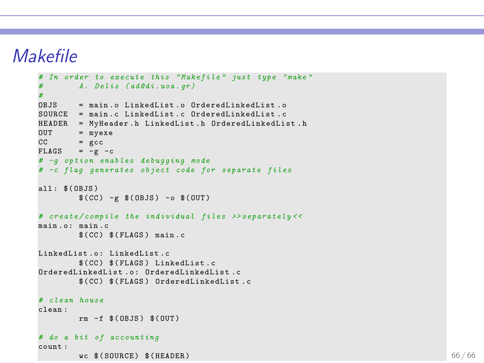### Makefile

```
# In order to execute this " Makefile " just type " make "
       # A . Delis ( ad@di . uoa . gr )
#
    OBJS = main . o LinkedList . o OrderedLinkedLi st . o
SOURCE = main.c LinkedList.c OrderedLinkedList.c
HEADER = MyHeader.h LinkedList.h OrderedLinkedList.h
OUT = myexeCC = \text{gcc}FLAGS = -g -c# -g option enables debugging mode
# -c flag generates object code for separate files
all: $ (0BJS)$(CC) -g $(OBJS) -o $ (OUT)# create / compile the individual files >> separately < <
main.o: main.c
        $(CC) $ (FLAGS) main.cLinkedList o: LinkedList c
        $ ( CC ) $ ( FLAGS ) LinkedList . c
OrderedLinkedList.o: OrderedLinkedList.c
        $(CC) $(FLAGS) OrderedLinkedList.c
# clean house
clean :
       rm -f $ (OBJS) $ (OUT)
# do a bit of accounting
count :
        wc $ (SOURCE) $ (HEADER) 66 / 66
```